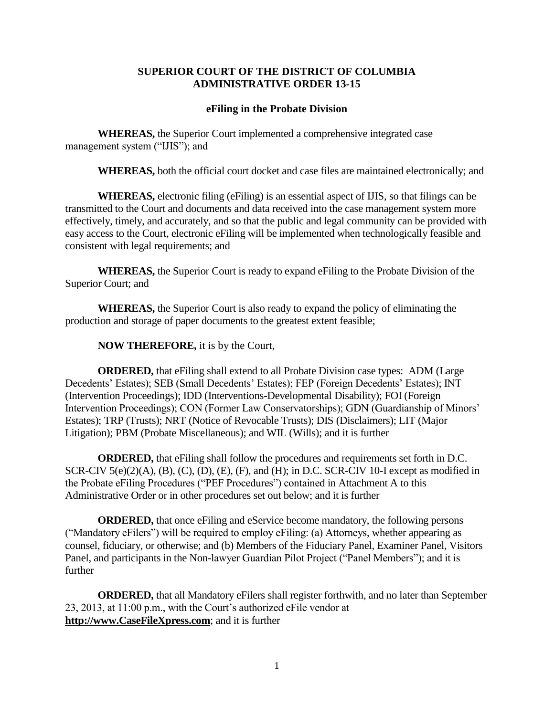## **SUPERIOR COURT OF THE DISTRICT OF COLUMBIA ADMINISTRATIVE ORDER 13-15**

## **eFiling in the Probate Division**

**WHEREAS,** the Superior Court implemented a comprehensive integrated case management system ("IJIS"); and

**WHEREAS,** both the official court docket and case files are maintained electronically; and

**WHEREAS,** electronic filing (eFiling) is an essential aspect of IJIS, so that filings can be transmitted to the Court and documents and data received into the case management system more effectively, timely, and accurately, and so that the public and legal community can be provided with easy access to the Court, electronic eFiling will be implemented when technologically feasible and consistent with legal requirements; and

**WHEREAS,** the Superior Court is ready to expand eFiling to the Probate Division of the Superior Court; and

**WHEREAS,** the Superior Court is also ready to expand the policy of eliminating the production and storage of paper documents to the greatest extent feasible;

## **NOW THEREFORE,** it is by the Court,

**ORDERED,** that eFiling shall extend to all Probate Division case types: ADM (Large Decedents' Estates); SEB (Small Decedents' Estates); FEP (Foreign Decedents' Estates); INT (Intervention Proceedings); IDD (Interventions-Developmental Disability); FOI (Foreign Intervention Proceedings); CON (Former Law Conservatorships); GDN (Guardianship of Minors' Estates); TRP (Trusts); NRT (Notice of Revocable Trusts); DIS (Disclaimers); LIT (Major Litigation); PBM (Probate Miscellaneous); and WIL (Wills); and it is further

**ORDERED,** that eFiling shall follow the procedures and requirements set forth in D.C. SCR-CIV  $5(e)(2)(A)$ ,  $(B)$ ,  $(C)$ ,  $(D)$ ,  $(E)$ ,  $(F)$ , and  $(H)$ ; in D.C. SCR-CIV 10-I except as modified in the Probate eFiling Procedures ("PEF Procedures") contained in Attachment A to this Administrative Order or in other procedures set out below; and it is further

**ORDERED,** that once eFiling and eService become mandatory, the following persons ("Mandatory eFilers") will be required to employ eFiling: (a) Attorneys, whether appearing as counsel, fiduciary, or otherwise; and (b) Members of the Fiduciary Panel, Examiner Panel, Visitors Panel, and participants in the Non-lawyer Guardian Pilot Project ("Panel Members"); and it is further

**ORDERED,** that all Mandatory eFilers shall register forthwith, and no later than September 23, 2013, at 11:00 p.m., with the Court's authorized eFile vendor at **[http://www.CaseFileXpress.com](http://www.casefilexpress.com/)**; and it is further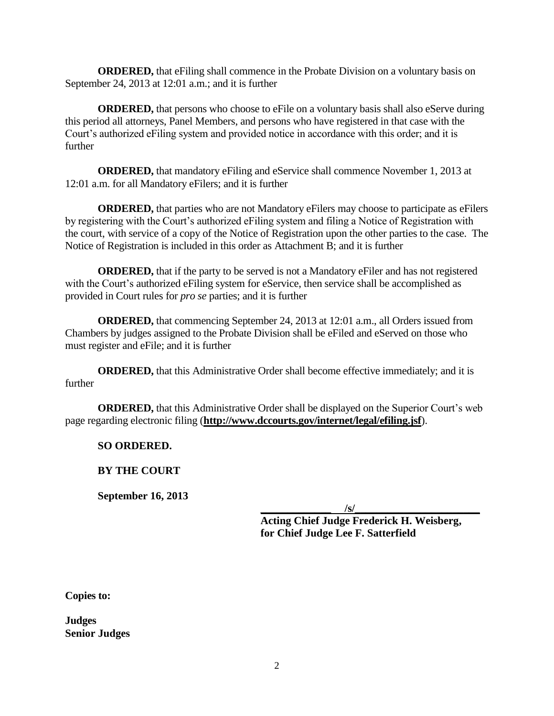**ORDERED,** that eFiling shall commence in the Probate Division on a voluntary basis on September 24, 2013 at 12:01 a.m.; and it is further

**ORDERED,** that persons who choose to eFile on a voluntary basis shall also eServe during this period all attorneys, Panel Members, and persons who have registered in that case with the Court's authorized eFiling system and provided notice in accordance with this order; and it is further

**ORDERED,** that mandatory eFiling and eService shall commence November 1, 2013 at 12:01 a.m. for all Mandatory eFilers; and it is further

**ORDERED,** that parties who are not Mandatory eFilers may choose to participate as eFilers by registering with the Court's authorized eFiling system and filing a Notice of Registration with the court, with service of a copy of the Notice of Registration upon the other parties to the case. The Notice of Registration is included in this order as Attachment B; and it is further

**ORDERED,** that if the party to be served is not a Mandatory eFiler and has not registered with the Court's authorized eFiling system for eService, then service shall be accomplished as provided in Court rules for *pro se* parties; and it is further

**ORDERED,** that commencing September 24, 2013 at 12:01 a.m., all Orders issued from Chambers by judges assigned to the Probate Division shall be eFiled and eServed on those who must register and eFile; and it is further

**ORDERED,** that this Administrative Order shall become effective immediately; and it is further

**ORDERED,** that this Administrative Order shall be displayed on the Superior Court's web page regarding electronic filing (**<http://www.dccourts.gov/internet/legal/efiling.jsf>**).

**SO ORDERED.**

**BY THE COURT**

**September 16, 2013**

 $\sqrt{s}$ /

**Acting Chief Judge Frederick H. Weisberg, for Chief Judge Lee F. Satterfield**

**Copies to:**

**Judges Senior Judges**